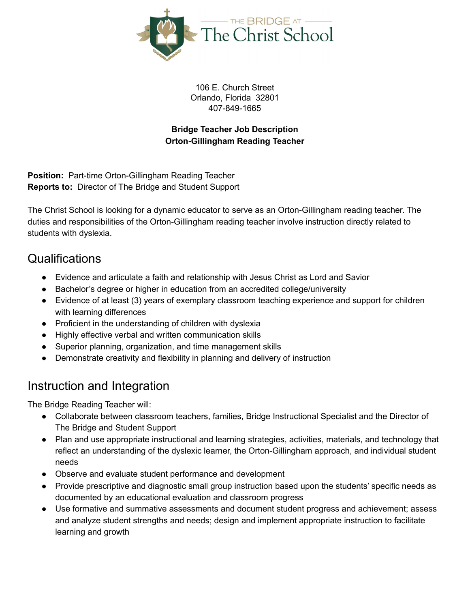

106 E. Church Street Orlando, Florida 32801 407-849-1665

#### **Bridge Teacher Job Description Orton-Gillingham Reading Teacher**

**Position:** Part-time Orton-Gillingham Reading Teacher **Reports to:** Director of The Bridge and Student Support

The Christ School is looking for a dynamic educator to serve as an Orton-Gillingham reading teacher. The duties and responsibilities of the Orton-Gillingham reading teacher involve instruction directly related to students with dyslexia.

#### Qualifications

- Evidence and articulate a faith and relationship with Jesus Christ as Lord and Savior
- Bachelor's degree or higher in education from an accredited college/university
- Evidence of at least (3) years of exemplary classroom teaching experience and support for children with learning differences
- Proficient in the understanding of children with dyslexia
- Highly effective verbal and written communication skills
- Superior planning, organization, and time management skills
- Demonstrate creativity and flexibility in planning and delivery of instruction

# Instruction and Integration

The Bridge Reading Teacher will:

- Collaborate between classroom teachers, families, Bridge Instructional Specialist and the Director of The Bridge and Student Support
- Plan and use appropriate instructional and learning strategies, activities, materials, and technology that reflect an understanding of the dyslexic learner, the Orton-Gillingham approach, and individual student needs
- Observe and evaluate student performance and development
- Provide prescriptive and diagnostic small group instruction based upon the students' specific needs as documented by an educational evaluation and classroom progress
- Use formative and summative assessments and document student progress and achievement; assess and analyze student strengths and needs; design and implement appropriate instruction to facilitate learning and growth